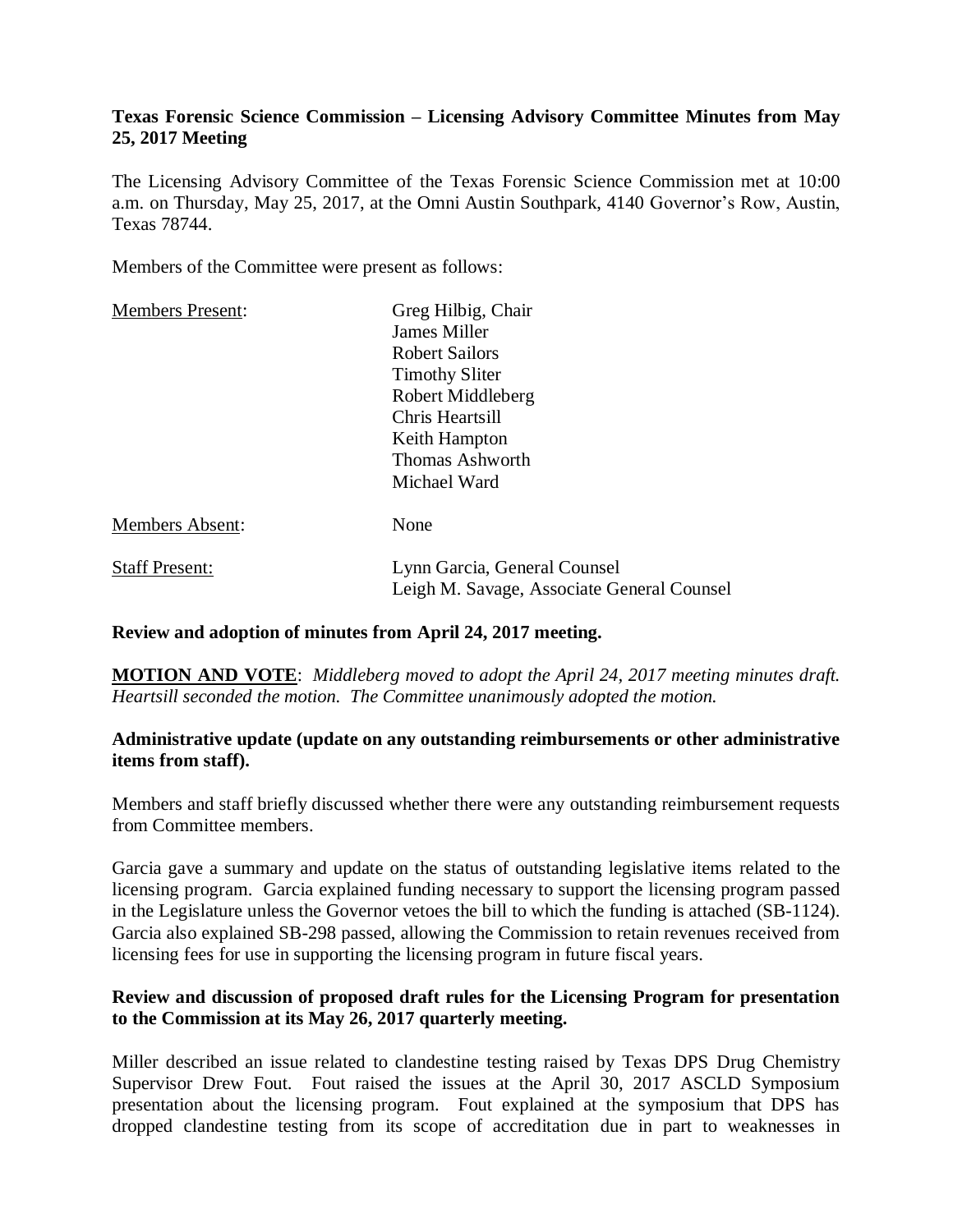# **Texas Forensic Science Commission – Licensing Advisory Committee Minutes from May 25, 2017 Meeting**

The Licensing Advisory Committee of the Texas Forensic Science Commission met at 10:00 a.m. on Thursday, May 25, 2017, at the Omni Austin Southpark, 4140 Governor's Row, Austin, Texas 78744.

Members of the Committee were present as follows:

| <b>Members Present:</b> | Greg Hilbig, Chair<br>James Miller<br><b>Robert Sailors</b><br><b>Timothy Sliter</b><br>Robert Middleberg<br>Chris Heartsill<br>Keith Hampton<br>Thomas Ashworth<br>Michael Ward |
|-------------------------|----------------------------------------------------------------------------------------------------------------------------------------------------------------------------------|
| <b>Members Absent:</b>  | None                                                                                                                                                                             |
| <b>Staff Present:</b>   | Lynn Garcia, General Counsel<br>Leigh M. Savage, Associate General Counsel                                                                                                       |

#### **Review and adoption of minutes from April 24, 2017 meeting.**

**MOTION AND VOTE**: *Middleberg moved to adopt the April 24, 2017 meeting minutes draft. Heartsill seconded the motion. The Committee unanimously adopted the motion.*

# **Administrative update (update on any outstanding reimbursements or other administrative items from staff).**

Members and staff briefly discussed whether there were any outstanding reimbursement requests from Committee members.

Garcia gave a summary and update on the status of outstanding legislative items related to the licensing program. Garcia explained funding necessary to support the licensing program passed in the Legislature unless the Governor vetoes the bill to which the funding is attached (SB-1124). Garcia also explained SB-298 passed, allowing the Commission to retain revenues received from licensing fees for use in supporting the licensing program in future fiscal years.

# **Review and discussion of proposed draft rules for the Licensing Program for presentation to the Commission at its May 26, 2017 quarterly meeting.**

Miller described an issue related to clandestine testing raised by Texas DPS Drug Chemistry Supervisor Drew Fout. Fout raised the issues at the April 30, 2017 ASCLD Symposium presentation about the licensing program. Fout explained at the symposium that DPS has dropped clandestine testing from its scope of accreditation due in part to weaknesses in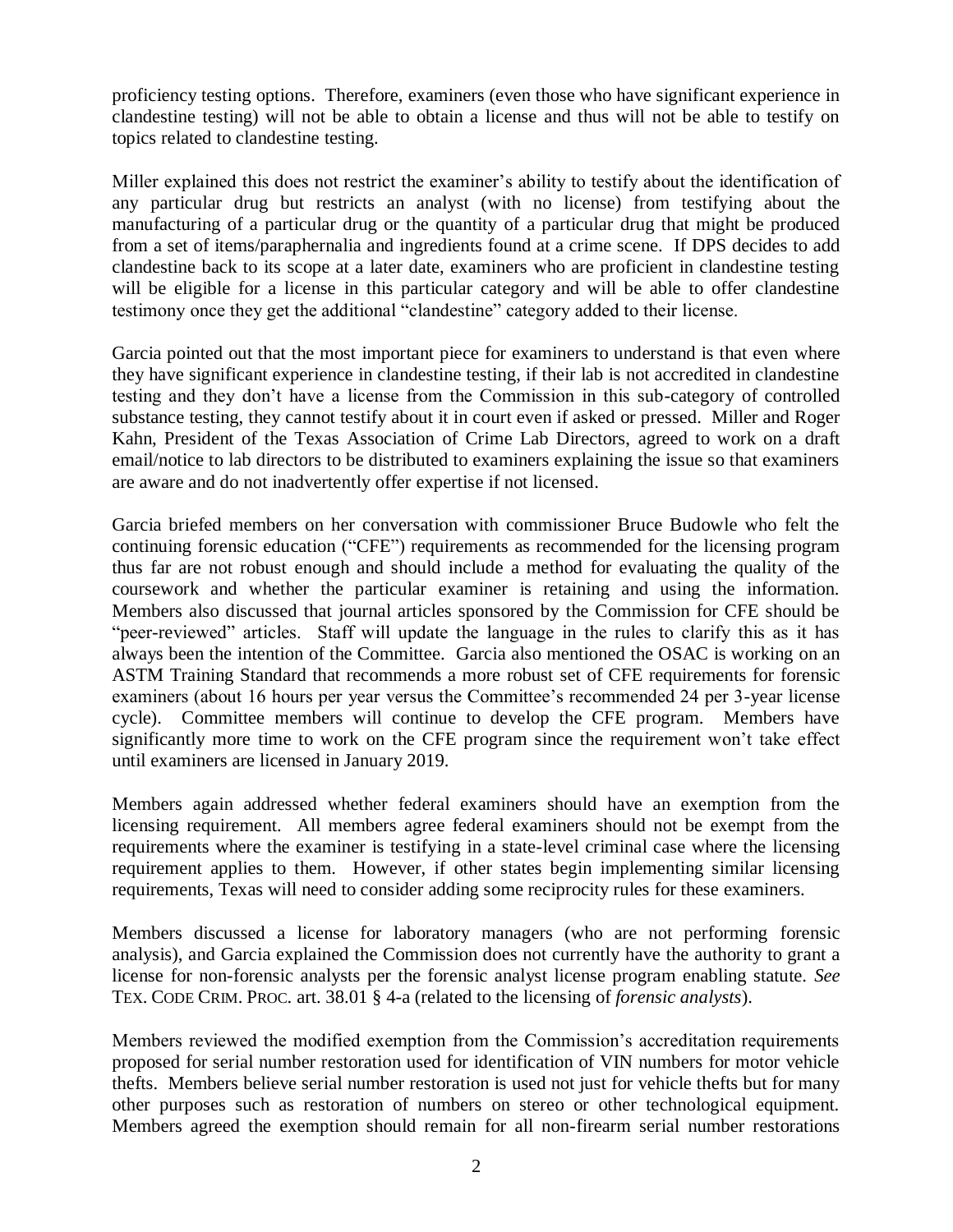proficiency testing options. Therefore, examiners (even those who have significant experience in clandestine testing) will not be able to obtain a license and thus will not be able to testify on topics related to clandestine testing.

Miller explained this does not restrict the examiner's ability to testify about the identification of any particular drug but restricts an analyst (with no license) from testifying about the manufacturing of a particular drug or the quantity of a particular drug that might be produced from a set of items/paraphernalia and ingredients found at a crime scene. If DPS decides to add clandestine back to its scope at a later date, examiners who are proficient in clandestine testing will be eligible for a license in this particular category and will be able to offer clandestine testimony once they get the additional "clandestine" category added to their license.

Garcia pointed out that the most important piece for examiners to understand is that even where they have significant experience in clandestine testing, if their lab is not accredited in clandestine testing and they don't have a license from the Commission in this sub-category of controlled substance testing, they cannot testify about it in court even if asked or pressed. Miller and Roger Kahn, President of the Texas Association of Crime Lab Directors, agreed to work on a draft email/notice to lab directors to be distributed to examiners explaining the issue so that examiners are aware and do not inadvertently offer expertise if not licensed.

Garcia briefed members on her conversation with commissioner Bruce Budowle who felt the continuing forensic education ("CFE") requirements as recommended for the licensing program thus far are not robust enough and should include a method for evaluating the quality of the coursework and whether the particular examiner is retaining and using the information. Members also discussed that journal articles sponsored by the Commission for CFE should be "peer-reviewed" articles. Staff will update the language in the rules to clarify this as it has always been the intention of the Committee. Garcia also mentioned the OSAC is working on an ASTM Training Standard that recommends a more robust set of CFE requirements for forensic examiners (about 16 hours per year versus the Committee's recommended 24 per 3-year license cycle). Committee members will continue to develop the CFE program. Members have significantly more time to work on the CFE program since the requirement won't take effect until examiners are licensed in January 2019.

Members again addressed whether federal examiners should have an exemption from the licensing requirement. All members agree federal examiners should not be exempt from the requirements where the examiner is testifying in a state-level criminal case where the licensing requirement applies to them. However, if other states begin implementing similar licensing requirements, Texas will need to consider adding some reciprocity rules for these examiners.

Members discussed a license for laboratory managers (who are not performing forensic analysis), and Garcia explained the Commission does not currently have the authority to grant a license for non-forensic analysts per the forensic analyst license program enabling statute. *See*  TEX. CODE CRIM. PROC. art. 38.01 § 4-a (related to the licensing of *forensic analysts*).

Members reviewed the modified exemption from the Commission's accreditation requirements proposed for serial number restoration used for identification of VIN numbers for motor vehicle thefts. Members believe serial number restoration is used not just for vehicle thefts but for many other purposes such as restoration of numbers on stereo or other technological equipment. Members agreed the exemption should remain for all non-firearm serial number restorations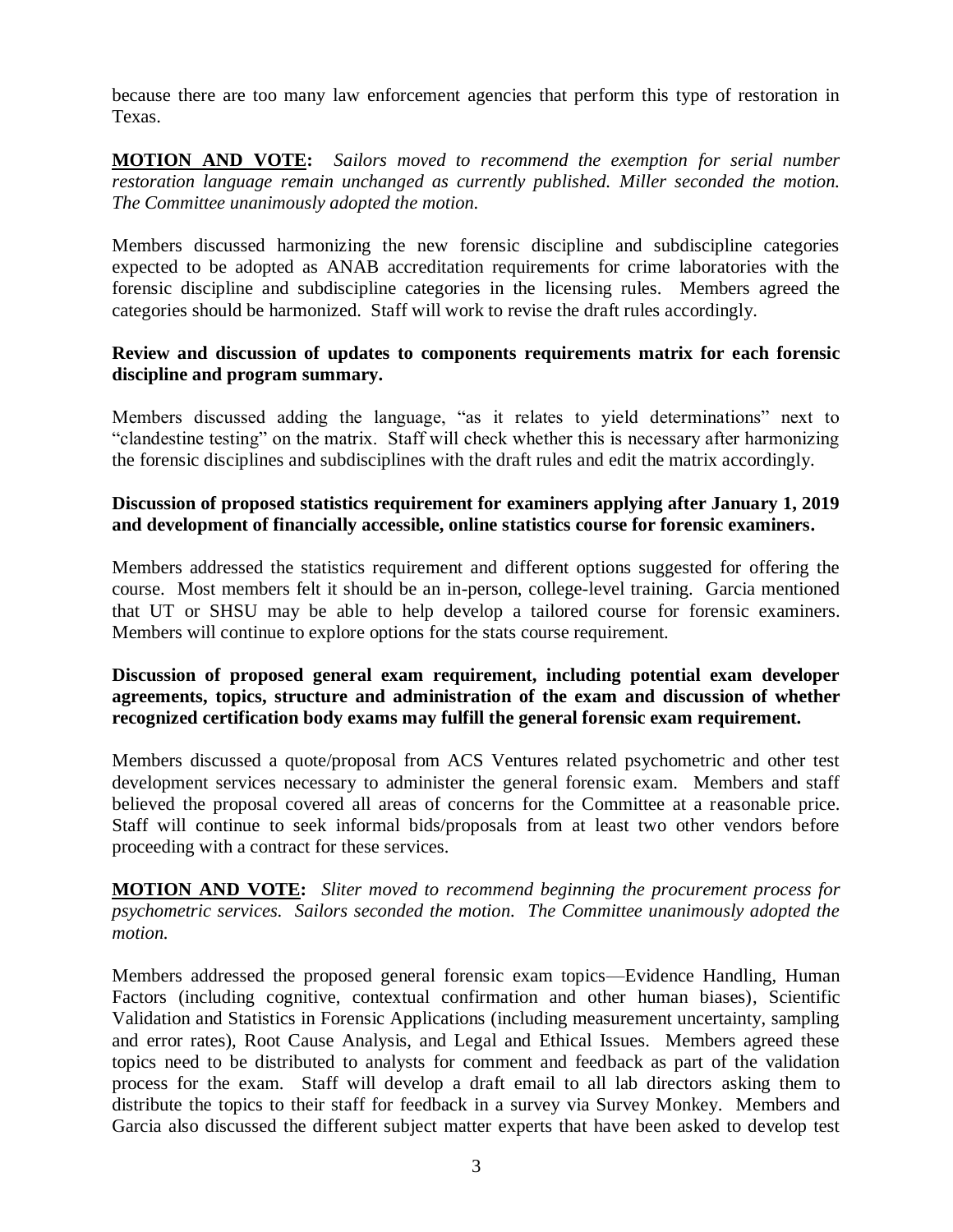because there are too many law enforcement agencies that perform this type of restoration in Texas.

**MOTION AND VOTE:** *Sailors moved to recommend the exemption for serial number restoration language remain unchanged as currently published. Miller seconded the motion. The Committee unanimously adopted the motion.* 

Members discussed harmonizing the new forensic discipline and subdiscipline categories expected to be adopted as ANAB accreditation requirements for crime laboratories with the forensic discipline and subdiscipline categories in the licensing rules. Members agreed the categories should be harmonized. Staff will work to revise the draft rules accordingly.

#### **Review and discussion of updates to components requirements matrix for each forensic discipline and program summary.**

Members discussed adding the language, "as it relates to yield determinations" next to "clandestine testing" on the matrix. Staff will check whether this is necessary after harmonizing the forensic disciplines and subdisciplines with the draft rules and edit the matrix accordingly.

# **Discussion of proposed statistics requirement for examiners applying after January 1, 2019 and development of financially accessible, online statistics course for forensic examiners.**

Members addressed the statistics requirement and different options suggested for offering the course. Most members felt it should be an in-person, college-level training. Garcia mentioned that UT or SHSU may be able to help develop a tailored course for forensic examiners. Members will continue to explore options for the stats course requirement.

# **Discussion of proposed general exam requirement, including potential exam developer agreements, topics, structure and administration of the exam and discussion of whether recognized certification body exams may fulfill the general forensic exam requirement.**

Members discussed a quote/proposal from ACS Ventures related psychometric and other test development services necessary to administer the general forensic exam. Members and staff believed the proposal covered all areas of concerns for the Committee at a reasonable price. Staff will continue to seek informal bids/proposals from at least two other vendors before proceeding with a contract for these services.

**MOTION AND VOTE:** *Sliter moved to recommend beginning the procurement process for psychometric services. Sailors seconded the motion. The Committee unanimously adopted the motion.* 

Members addressed the proposed general forensic exam topics—Evidence Handling, Human Factors (including cognitive, contextual confirmation and other human biases), Scientific Validation and Statistics in Forensic Applications (including measurement uncertainty, sampling and error rates), Root Cause Analysis, and Legal and Ethical Issues. Members agreed these topics need to be distributed to analysts for comment and feedback as part of the validation process for the exam. Staff will develop a draft email to all lab directors asking them to distribute the topics to their staff for feedback in a survey via Survey Monkey. Members and Garcia also discussed the different subject matter experts that have been asked to develop test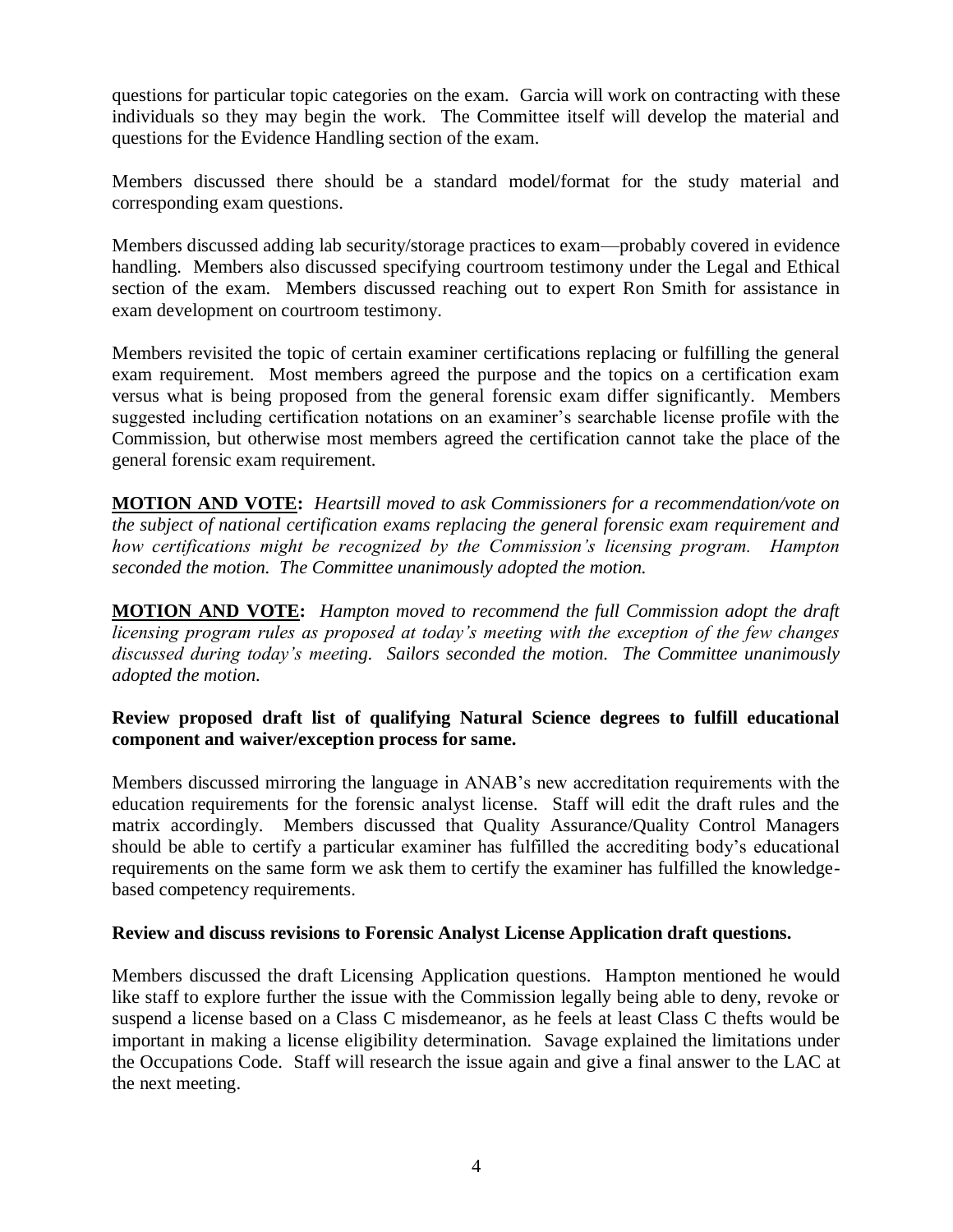questions for particular topic categories on the exam. Garcia will work on contracting with these individuals so they may begin the work. The Committee itself will develop the material and questions for the Evidence Handling section of the exam.

Members discussed there should be a standard model/format for the study material and corresponding exam questions.

Members discussed adding lab security/storage practices to exam—probably covered in evidence handling. Members also discussed specifying courtroom testimony under the Legal and Ethical section of the exam. Members discussed reaching out to expert Ron Smith for assistance in exam development on courtroom testimony.

Members revisited the topic of certain examiner certifications replacing or fulfilling the general exam requirement. Most members agreed the purpose and the topics on a certification exam versus what is being proposed from the general forensic exam differ significantly. Members suggested including certification notations on an examiner's searchable license profile with the Commission, but otherwise most members agreed the certification cannot take the place of the general forensic exam requirement.

**MOTION AND VOTE:** *Heartsill moved to ask Commissioners for a recommendation/vote on the subject of national certification exams replacing the general forensic exam requirement and how certifications might be recognized by the Commission's licensing program. Hampton seconded the motion. The Committee unanimously adopted the motion.*

**MOTION AND VOTE:** *Hampton moved to recommend the full Commission adopt the draft licensing program rules as proposed at today's meeting with the exception of the few changes discussed during today's meeting. Sailors seconded the motion. The Committee unanimously adopted the motion.*

# **Review proposed draft list of qualifying Natural Science degrees to fulfill educational component and waiver/exception process for same.**

Members discussed mirroring the language in ANAB's new accreditation requirements with the education requirements for the forensic analyst license. Staff will edit the draft rules and the matrix accordingly. Members discussed that Quality Assurance/Quality Control Managers should be able to certify a particular examiner has fulfilled the accrediting body's educational requirements on the same form we ask them to certify the examiner has fulfilled the knowledgebased competency requirements.

# **Review and discuss revisions to Forensic Analyst License Application draft questions.**

Members discussed the draft Licensing Application questions. Hampton mentioned he would like staff to explore further the issue with the Commission legally being able to deny, revoke or suspend a license based on a Class C misdemeanor, as he feels at least Class C thefts would be important in making a license eligibility determination. Savage explained the limitations under the Occupations Code. Staff will research the issue again and give a final answer to the LAC at the next meeting.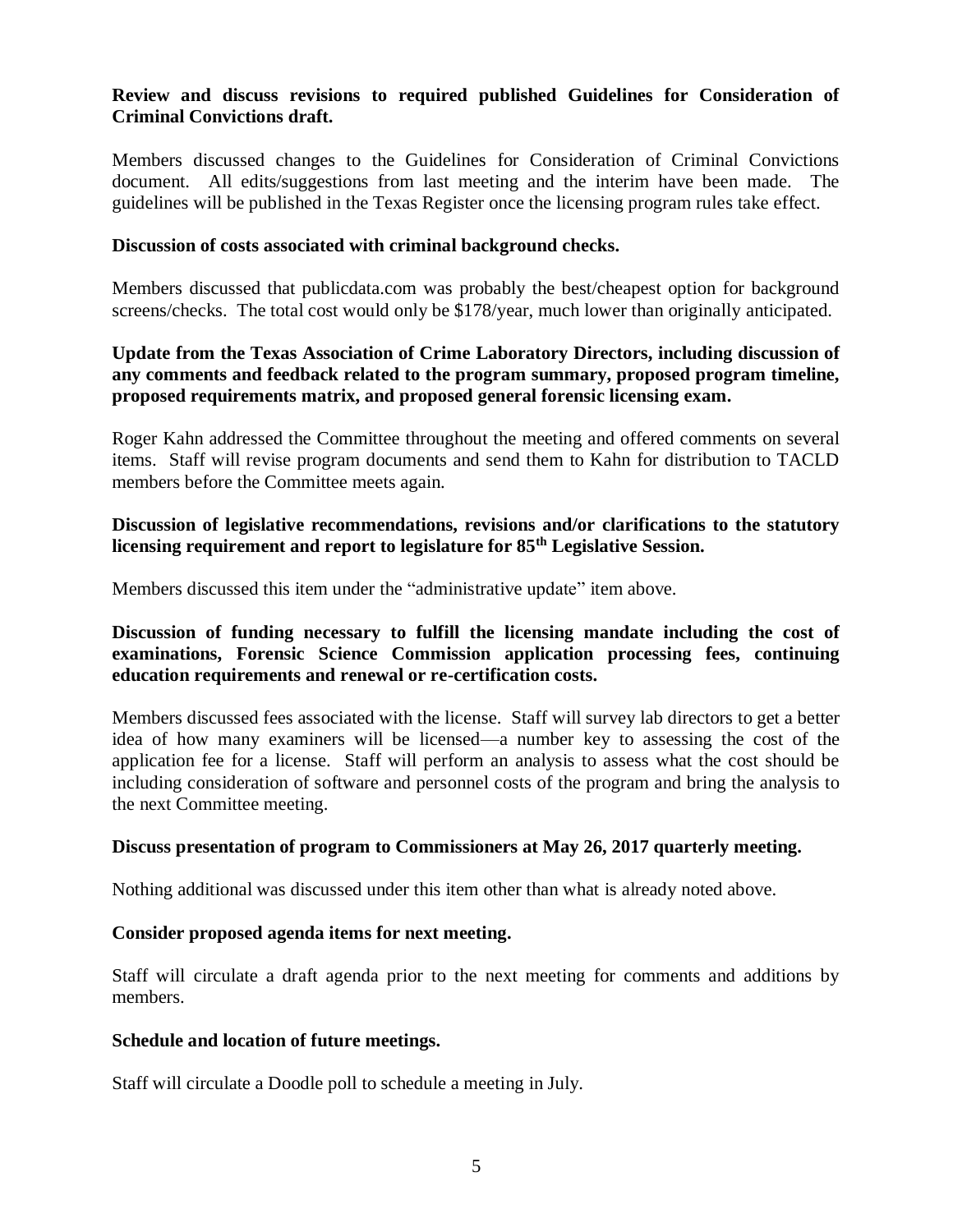## **Review and discuss revisions to required published Guidelines for Consideration of Criminal Convictions draft.**

Members discussed changes to the Guidelines for Consideration of Criminal Convictions document. All edits/suggestions from last meeting and the interim have been made. The guidelines will be published in the Texas Register once the licensing program rules take effect.

#### **Discussion of costs associated with criminal background checks.**

Members discussed that publicdata.com was probably the best/cheapest option for background screens/checks. The total cost would only be \$178/year, much lower than originally anticipated.

# **Update from the Texas Association of Crime Laboratory Directors, including discussion of any comments and feedback related to the program summary, proposed program timeline, proposed requirements matrix, and proposed general forensic licensing exam.**

Roger Kahn addressed the Committee throughout the meeting and offered comments on several items. Staff will revise program documents and send them to Kahn for distribution to TACLD members before the Committee meets again.

#### **Discussion of legislative recommendations, revisions and/or clarifications to the statutory licensing requirement and report to legislature for 85th Legislative Session.**

Members discussed this item under the "administrative update" item above.

# **Discussion of funding necessary to fulfill the licensing mandate including the cost of examinations, Forensic Science Commission application processing fees, continuing education requirements and renewal or re-certification costs.**

Members discussed fees associated with the license. Staff will survey lab directors to get a better idea of how many examiners will be licensed—a number key to assessing the cost of the application fee for a license. Staff will perform an analysis to assess what the cost should be including consideration of software and personnel costs of the program and bring the analysis to the next Committee meeting.

#### **Discuss presentation of program to Commissioners at May 26, 2017 quarterly meeting.**

Nothing additional was discussed under this item other than what is already noted above.

#### **Consider proposed agenda items for next meeting.**

Staff will circulate a draft agenda prior to the next meeting for comments and additions by members.

#### **Schedule and location of future meetings.**

Staff will circulate a Doodle poll to schedule a meeting in July.